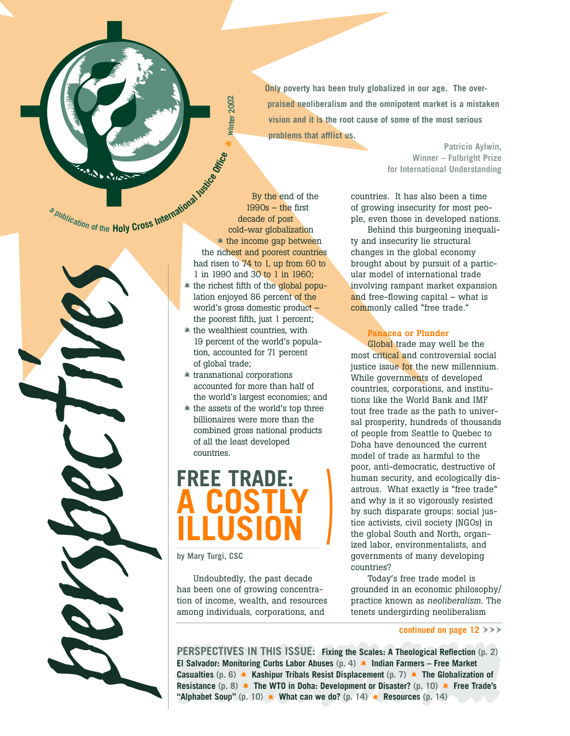**Only poverty has been truly globalized in our age. The overpraised neoliberalism and the omnipotent market is a mistaken vision and it is the root cause of some of the most serious problems that afflict us.** 

> **Winner – Fulbright Prize for International Understanding**

**Patricio Aylwin,** 

a publication of the Holy Cross International Institute

*tives*

*perspec*

By the end of the 1990s – the first decade of post cold-war globalization the income gap between the richest and poorest countries had risen to 74 to 1, up from 60 to 1 in 1990 and 30 to 1 in 1960;  $*$  the richest fifth of the global popu-

**Office**

\*

**winter 2002**

Winter 2002

- lation enjoyed 86 percent of the world's gross domestic product – the poorest fifth, just 1 percent;
- the wealthiest countries, with 19 percent of the world's population, accounted for 71 percent of global trade;
- transnational corporations accounted for more than half of the world's largest economies; and
- the assets of the world's top three billionaires were more than the combined gross national products of all the least developed countries.

# **FREE TRADE: A COSTLY ILLUSION**

**by Mary Turgi, CSC**

Undoubtedly, the past decade has been one of growing concentration of income, wealth, and resources among individuals, corporations, and

countries. It has also been a time of growing insecurity for most people, even those in developed nations.

Behind this burgeoning inequality and insecurity lie structural changes in the global economy brought about by pursuit of a particular model of international trade involving rampant market expansion and free-flowing capital – what is commonly called "free trade."

#### **Panacea or Plunder**

Global trade may well be the most critical and controversial social justice issue for the new millennium. While governments of developed countries, corporations, and institutions like the World Bank and IMF tout free trade as the path to universal prosperity, hundreds of thousands of people from Seattle to Quebec to Doha have denounced the current model of trade as harmful to the poor, anti-democratic, destructive of human security, and ecologically disastrous. What exactly is "free trade" and why is it so vigorously resisted by such disparate groups: social justice activists, civil society (NGOs) in the global South and North, organized labor, environmentalists, and governments of many developing countries?

Today's free trade model is grounded in an economic philosophy/ practice known as *neoliberalism.* The tenets undergirding neoliberalism

#### continued on page  $12$   $>>$

**PERSPECTIVES IN THIS ISSUE: Fixing the Scales: A Theological Reflection (p. 2) El Salvador: Monitoring Curbs Labor Abuses (p. 4) Indian Farmers – Free Market Casualties** (p. 6)  $\ast$  Kashipur Tribals Resist Displacement (p. 7)  $\ast$  The Globalization of **Resistance** (p. 8)  $*$  The WTO in Doha: Development or Disaster? (p. 10)  $*$  Free Trade's **"Alphabet Soup"** (p. 10)  $\ast$  What can we do? (p. 14)  $\ast$  Resources (p. 14)

**)**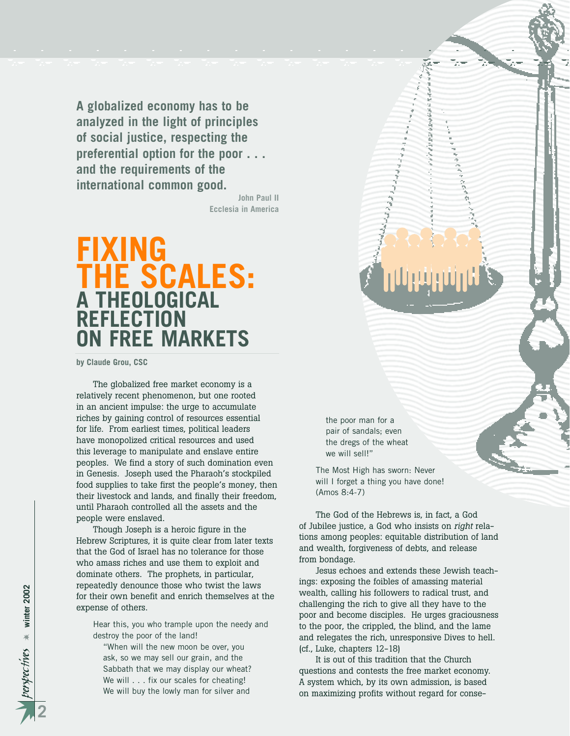**A globalized economy has to be analyzed in the light of principles of social justice, respecting the preferential option for the poor . . . and the requirements of the international common good.**

> **John Paul II Ecclesia in America**

## **FIXING THE SCALES: A THEOLOGICAL REFLECTION ON FREE MARKETS**

**by Claude Grou, CSC**

The globalized free market economy is a relatively recent phenomenon, but one rooted in an ancient impulse: the urge to accumulate riches by gaining control of resources essential for life. From earliest times, political leaders have monopolized critical resources and used this leverage to manipulate and enslave entire peoples. We find a story of such domination even in Genesis. Joseph used the Pharaoh's stockpiled food supplies to take first the people's money, then their livestock and lands, and finally their freedom, until Pharaoh controlled all the assets and the people were enslaved.

Though Joseph is a heroic figure in the Hebrew Scriptures, it is quite clear from later texts that the God of Israel has no tolerance for those who amass riches and use them to exploit and dominate others. The prophets, in particular, repeatedly denounce those who twist the laws for their own benefit and enrich themselves at the expense of others.

Hear this, you who trample upon the needy and destroy the poor of the land!

"When will the new moon be over, you ask, so we may sell our grain, and the Sabbath that we may display our wheat? We will . . . fix our scales for cheating! We will buy the lowly man for silver and

the poor man for a pair of sandals; even the dregs of the wheat we will sell!"

The Most High has sworn: Never will I forget a thing you have done! (Amos 8:4-7)

The God of the Hebrews is, in fact, a God of Jubilee justice, a God who insists on *right* relations among peoples: equitable distribution of land and wealth, forgiveness of debts, and release from bondage.

Jesus echoes and extends these Jewish teachings: exposing the foibles of amassing material wealth, calling his followers to radical trust, and challenging the rich to give all they have to the poor and become disciples. He urges graciousness to the poor, the crippled, the blind, and the lame and relegates the rich, unresponsive Dives to hell. (cf., Luke, chapters 12-18)

It is out of this tradition that the Church questions and contests the free market economy. A system which, by its own admission, is based on maximizing profits without regard for conse-

*perspec tives* ☀ **winter 2002**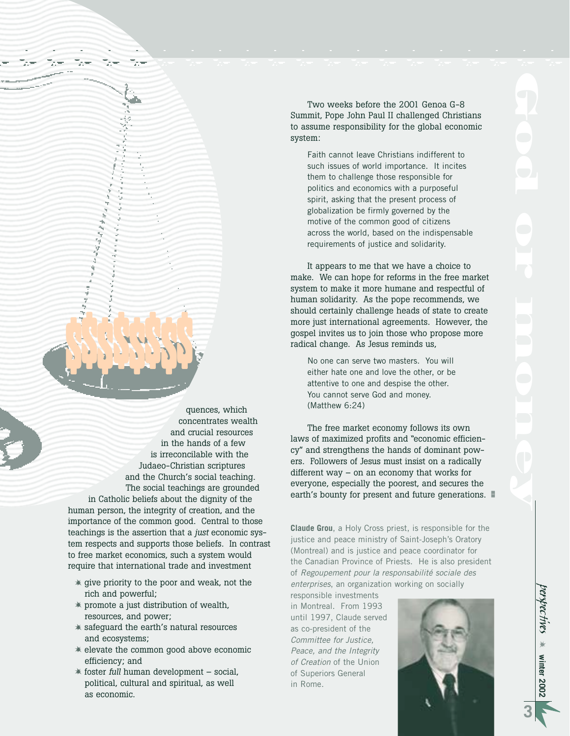Two weeks before the 2001 Genoa G-8 Summit, Pope John Paul II challenged Christians to assume responsibility for the global economic system:

Faith cannot leave Christians indifferent to such issues of world importance. It incites them to challenge those responsible for politics and economics with a purposeful spirit, asking that the present process of globalization be firmly governed by the motive of the common good of citizens across the world, based on the indispensable requirements of justice and solidarity.

It appears to me that we have a choice to make. We can hope for reforms in the free market system to make it more humane and respectful of human solidarity. As the pope recommends, we should certainly challenge heads of state to create more just international agreements. However, the gospel invites us to join those who propose more radical change. As Jesus reminds us,

No one can serve two masters. You will either hate one and love the other, or be attentive to one and despise the other. You cannot serve God and money. (Matthew 6:24)

The free market economy follows its own laws of maximized profits and "economic efficiency" and strengthens the hands of dominant powers. Followers of Jesus must insist on a radically different way – on an economy that works for everyone, especially the poorest, and secures the earth's bounty for present and future generations.

**Claude Grou**, a Holy Cross priest, is responsible for the justice and peace ministry of Saint-Joseph's Oratory (Montreal) and is justice and peace coordinator for the Canadian Province of Priests. He is also president of *Regoupement pour la responsabilité sociale des enterprises*, an organization working on socially

responsible investments in Montreal. From 1993 until 1997, Claude served as co-president of the *Committee for Justice, Peace, and the Integrity of Creation* of the Union of Superiors General in Rome.



and crucial resources in the hands of a few is irreconcilable with the Judaeo-Christian scriptures and the Church's social teaching. The social teachings are grounded in Catholic beliefs about the dignity of the human person, the integrity of creation, and the importance of the common good. Central to those teachings is the assertion that a *just* economic system respects and supports those beliefs. In contrast to free market economics, such a system would require that international trade and investment

\$\$\$\$\$\$\$\$

quences, which concentrates wealth

- give priority to the poor and weak, not the rich and powerful;
- promote a just distribution of wealth, resources, and power;
- safeguard the earth's natural resources and ecosystems;
- elevate the common good above economic efficiency; and
- foster *full* human development social, political, cultural and spiritual, as well as economic.

*perspec tives* ☀ **winter 2002**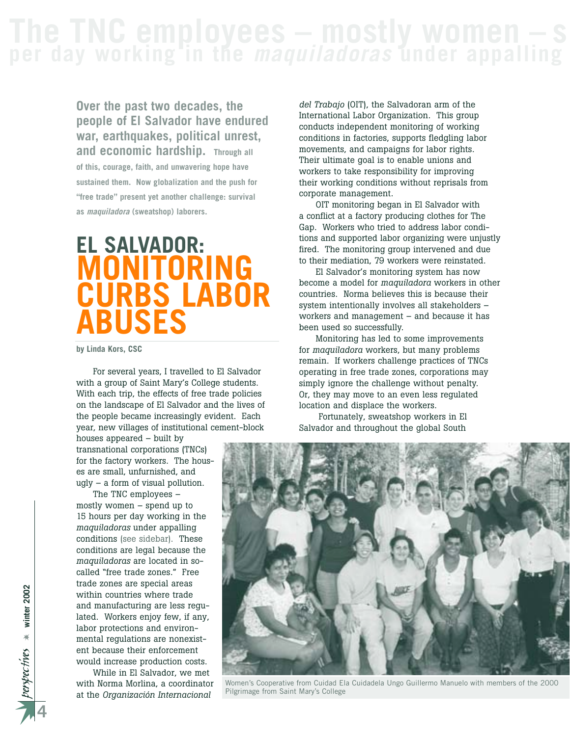**Over the past two decades, the people of El Salvador have endured war, earthquakes, political unrest, and economic hardship. Through all of this, courage, faith, and unwavering hope have sustained them. Now globalization and the push for "free trade" present yet another challenge: survival as** *maquiladora* **(sweatshop) laborers.**

# **EL SALVADOR: MONITORING CURBS LABOR ABUSES**

**by Linda Kors, CSC**

For several years, I travelled to El Salvador with a group of Saint Mary's College students. With each trip, the effects of free trade policies on the landscape of El Salvador and the lives of the people became increasingly evident. Each year, new villages of institutional cement-block

houses appeared – built by transnational corporations (TNCs) for the factory workers. The houses are small, unfurnished, and ugly – a form of visual pollution.

The TNC employees – mostly women – spend up to 15 hours per day working in the *maquiladoras* under appalling conditions (see sidebar). These conditions are legal because the *maquiladoras* are located in socalled "free trade zones." Free trade zones are special areas within countries where trade and manufacturing are less regulated. Workers enjoy few, if any, labor protections and environmental regulations are nonexistent because their enforcement would increase production costs.

While in El Salvador, we met with Norma Morlina, a coordinator at the *Organización Internacional*

*del Trabajo* (OIT), the Salvadoran arm of the International Labor Organization. This group conducts independent monitoring of working conditions in factories, supports fledgling labor movements, and campaigns for labor rights. Their ultimate goal is to enable unions and workers to take responsibility for improving their working conditions without reprisals from corporate management.

OIT monitoring began in El Salvador with a conflict at a factory producing clothes for The Gap. Workers who tried to address labor conditions and supported labor organizing were unjustly fired. The monitoring group intervened and due to their mediation, 79 workers were reinstated.

El Salvador's monitoring system has now become a model for *maquiladora* workers in other countries. Norma believes this is because their system intentionally involves all stakeholders – workers and management – and because it has been used so successfully.

Monitoring has led to some improvements for *maquiladora* workers, but many problems remain. If workers challenge practices of TNCs operating in free trade zones, corporations may simply ignore the challenge without penalty. Or, they may move to an even less regulated location and displace the workers.

Fortunately, sweatshop workers in El Salvador and throughout the global South



Women's Cooperative from Cuidad Ela Cuidadela Ungo Guillermo Manuelo with members of the 2000 Pilgrimage from Saint Mary's College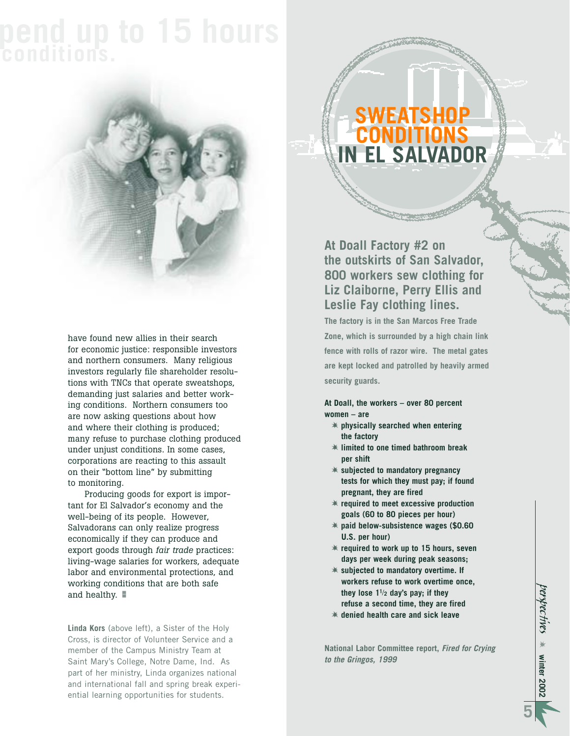# **pend up to 15 hours conditions.**



have found new allies in their search for economic justice: responsible investors and northern consumers. Many religious investors regularly file shareholder resolutions with TNCs that operate sweatshops, demanding just salaries and better working conditions. Northern consumers too are now asking questions about how and where their clothing is produced; many refuse to purchase clothing produced under unjust conditions. In some cases, corporations are reacting to this assault on their "bottom line" by submitting to monitoring.

Producing goods for export is important for El Salvador's economy and the well-being of its people. However, Salvadorans can only realize progress economically if they can produce and export goods through *fair trade* practices: living-wage salaries for workers, adequate labor and environmental protections, and working conditions that are both safe and healthy.  $\blacksquare$ 

**Linda Kors** (above left), a Sister of the Holy Cross, is director of Volunteer Service and a member of the Campus Ministry Team at Saint Mary's College, Notre Dame, Ind. As part of her ministry, Linda organizes national and international fall and spring break experiential learning opportunities for students.

### **SWEATSHOP CONDITIONS IN EL SALVADOR**

**At Doall Factory #2 on the outskirts of San Salvador, 800 workers sew clothing for Liz Claiborne, Perry Ellis and Leslie Fay clothing lines.** 

**The factory is in the San Marcos Free Trade Zone, which is surrounded by a high chain link fence with rolls of razor wire. The metal gates are kept locked and patrolled by heavily armed security guards.**

**At Doall, the workers – over 80 percent women – are**

- **physically searched when entering the factory**
- **limited to one timed bathroom break per shift**
- **subjected to mandatory pregnancy tests for which they must pay; if found pregnant, they are fired**
- **required to meet excessive production goals (60 to 80 pieces per hour)**
- **paid below-subsistence wages (\$0.60 U.S. per hour)**
- **required to work up to 15 hours, seven days per week during peak seasons;**
- **subjected to mandatory overtime. If workers refuse to work overtime once, they lose 11**/**<sup>2</sup> day's pay; if they refuse a second time, they are fired**
- **denied health care and sick leave**

**National Labor Committee report,** *Fired for Crying to the Gringos, 1999*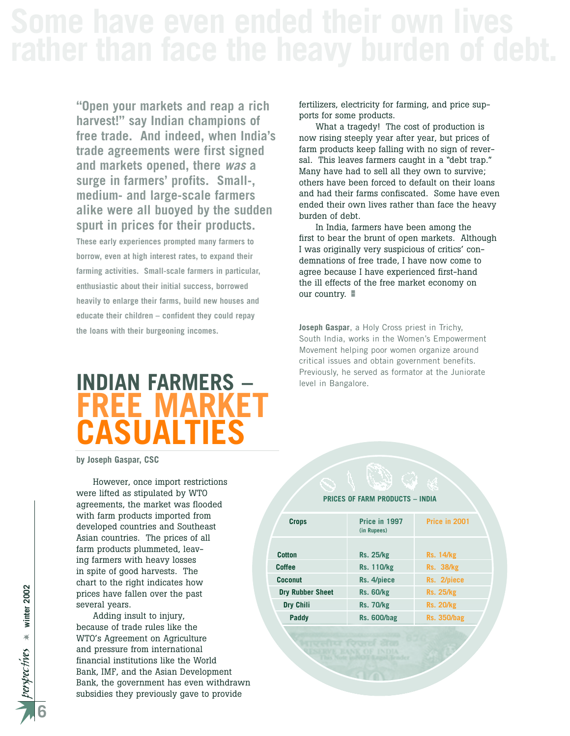**"Open your markets and reap a rich harvest!" say Indian champions of free trade. And indeed, when India's trade agreements were first signed and markets opened, there** *was* **a surge in farmers' profits. Small-, medium- and large-scale farmers alike were all buoyed by the sudden spurt in prices for their products.**

**These early experiences prompted many farmers to borrow, even at high interest rates, to expand their farming activities. Small-scale farmers in particular, enthusiastic about their initial success, borrowed heavily to enlarge their farms, build new houses and educate their children – confident they could repay the loans with their burgeoning incomes.** 

#### fertilizers, electricity for farming, and price supports for some products.

What a tragedy! The cost of production is now rising steeply year after year, but prices of farm products keep falling with no sign of reversal. This leaves farmers caught in a "debt trap." Many have had to sell all they own to survive; others have been forced to default on their loans and had their farms confiscated. Some have even ended their own lives rather than face the heavy burden of debt.

In India, farmers have been among the first to bear the brunt of open markets. Although I was originally very suspicious of critics' condemnations of free trade, I have now come to agree because I have experienced first-hand the ill effects of the free market economy on our country.

**Joseph Gaspar**, a Holy Cross priest in Trichy, South India, works in the Women's Empowerment Movement helping poor women organize around critical issues and obtain government benefits. Previously, he served as formator at the Juniorate level in Bangalore.

# **FREE MAR CASUALTIES**

**by Joseph Gaspar, CSC**

However, once import restrictions were lifted as stipulated by WTO agreements, the market was flooded with farm products imported from developed countries and Southeast Asian countries. The prices of all farm products plummeted, leaving farmers with heavy losses in spite of good harvests. The chart to the right indicates how prices have fallen over the past several years.

Adding insult to injury, because of trade rules like the WTO's Agreement on Agriculture and pressure from international financial institutions like the World Bank, IMF, and the Asian Development Bank, the government has even withdrawn subsidies they previously gave to provide

**6**

# **INDIAN FARMERS –**

| <b>PRICES OF FARM PRODUCTS - INDIA</b> |                              |                    |
|----------------------------------------|------------------------------|--------------------|
| <b>Crops</b>                           | Price in 1997<br>(in Rupees) | Price in 2001      |
| Cotton                                 | <b>Rs. 25/kg</b>             | <b>Rs. 14/kg</b>   |
| Coffee                                 | <b>Rs. 110/kg</b>            | Rs. 38/kg          |
| <b>Coconut</b>                         | Rs. 4/piece                  | Rs. 2/piece        |
| <b>Dry Rubber Sheet</b>                | <b>Rs. 60/kg</b>             | <b>Rs. 25/kg</b>   |
| <b>Dry Chili</b>                       | <b>Rs. 70/kg</b>             | <b>Rs. 20/kg</b>   |
| Paddy                                  | <b>Rs. 600/bag</b>           | <b>Rs. 350/bag</b> |
|                                        |                              |                    |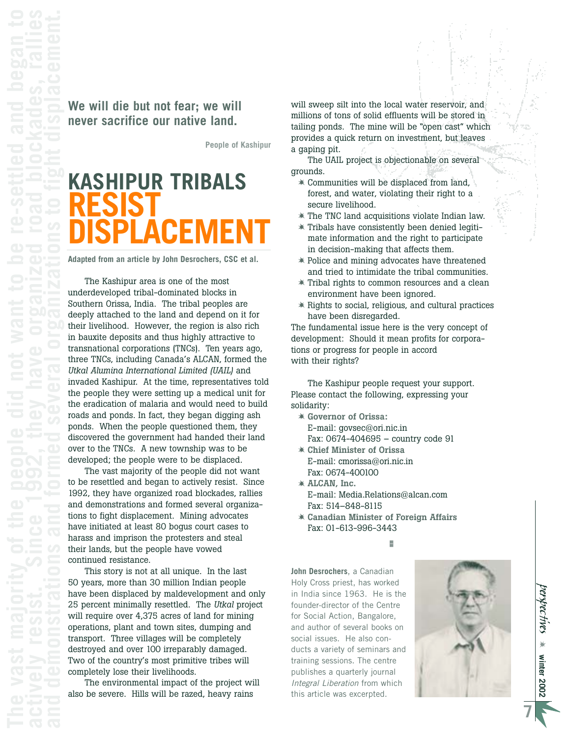#### **We will die but not fear; we will never sacrifice our native land.**

**People of Kashipur** 

# **KASHIPUR TRIBALS RESIST DISPLACEMENT**

**Adapted from an article by John Desrochers, CSC et al.** 

The Kashipur area is one of the most underdeveloped tribal-dominated blocks in Southern Orissa, India. The tribal peoples are deeply attached to the land and depend on it for their livelihood. However, the region is also rich in bauxite deposits and thus highly attractive to transnational corporations (TNCs). Ten years ago, three TNCs, including Canada's ALCAN, formed the *Utkal Alumina International Limited (UAIL)* and invaded Kashipur. At the time, representatives told the people they were setting up a medical unit for the eradication of malaria and would need to build roads and ponds. In fact, they began digging ash ponds. When the people questioned them, they discovered the government had handed their land over to the TNCs. A new township was to be developed; the people were to be displaced.

The vast majority of the people did not want to be resettled and began to actively resist. Since 1992, they have organized road blockades, rallies and demonstrations and formed several organizations to fight displacement. Mining advocates have initiated at least 80 bogus court cases to harass and imprison the protesters and steal their lands, but the people have vowed continued resistance.

This story is not at all unique. In the last 50 years, more than 30 million Indian people have been displaced by maldevelopment and only 25 percent minimally resettled. The *Utkal* project will require over 4,375 acres of land for mining operations, plant and town sites, dumping and transport. Three villages will be completely destroyed and over 100 irreparably damaged. Two of the country's most primitive tribes will completely lose their livelihoods.

The environmental impact of the project will also be severe. Hills will be razed, heavy rains

will sweep silt into the local water reservoir, and millions of tons of solid effluents will be stored in tailing ponds. The mine will be "open cast" which provides a quick return on investment, but leaves a gaping pit.

The UAIL project is objectionable on several grounds.

- Communities will be displaced from land, forest, and water, violating their right to a secure livelihood.
- The TNC land acquisitions violate Indian law.
- Tribals have consistently been denied legitimate information and the right to participate in decision-making that affects them.
- Police and mining advocates have threatened and tried to intimidate the tribal communities.
- Tribal rights to common resources and a clean environment have been ignored.
- $*$  Rights to social, religious, and cultural practices have been disregarded.

The fundamental issue here is the very concept of development: Should it mean profits for corporations or progress for people in accord with their rights?

The Kashipur people request your support. Please contact the following, expressing your solidarity:

- **Governor of Orissa:** E-mail: govsec@ori.nic.in Fax: 0674-404695 – country code 91
- **Chief Minister of Orissa** E-mail: cmorissa@ori.nic.in Fax: 0674-400100
- **ALCAN, Inc.**  E-mail: Media.Relations@alcan.com Fax: 514–848-8115
- **Canadian Minister of Foreign Affairs**  Fax: 01-613-996-3443

-

**John Desrochers**, a Canadian Holy Cross priest, has worked in India since 1963. He is the founder-director of the Centre for Social Action, Bangalore, and author of several books on social issues. He also conducts a variety of seminars and training sessions. The centre publishes a quarterly journal *Integral Liberation* from which this article was excerpted.

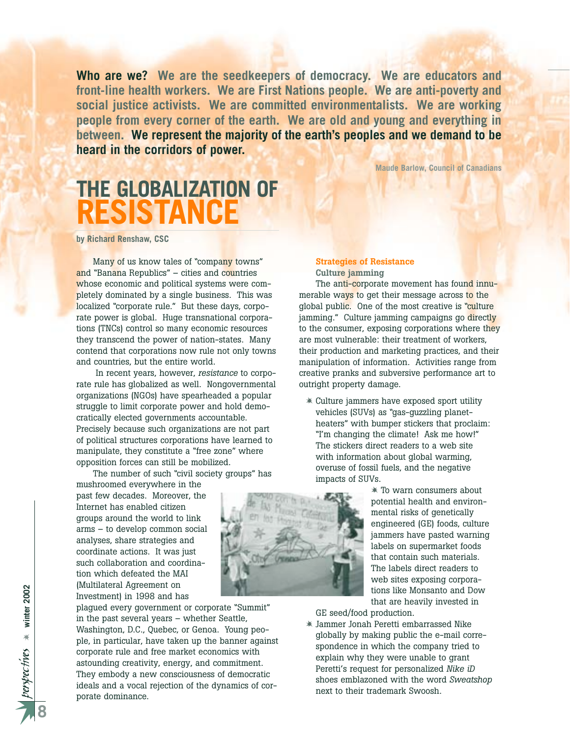**Who are we? We are the seedkeepers of democracy. We are educators and front-line health workers. We are First Nations people. We are anti-poverty and social justice activists. We are committed environmentalists. We are working people from every corner of the earth. We are old and young and everything in between. We represent the majority of the earth's peoples and we demand to be heard in the corridors of power.**

**Maude Barlow, Council of Canadians**

# **THE GLOBALIZATION OF RESISTANCE**

**by Richard Renshaw, CSC**

Many of us know tales of "company towns" and "Banana Republics" – cities and countries whose economic and political systems were completely dominated by a single business. This was localized "corporate rule." But these days, corporate power is global. Huge transnational corporations (TNCs) control so many economic resources they transcend the power of nation-states. Many contend that corporations now rule not only towns and countries, but the entire world.

In recent years, however, *resistance* to corporate rule has globalized as well. Nongovernmental organizations (NGOs) have spearheaded a popular struggle to limit corporate power and hold democratically elected governments accountable. Precisely because such organizations are not part of political structures corporations have learned to manipulate, they constitute a "free zone" where opposition forces can still be mobilized.

The number of such "civil society groups" has

mushroomed everywhere in the past few decades. Moreover, the Internet has enabled citizen groups around the world to link arms – to develop common social analyses, share strategies and coordinate actions. It was just such collaboration and coordination which defeated the MAI (Multilateral Agreement on Investment) in 1998 and has

plagued every government or corporate "Summit" in the past several years – whether Seattle, Washington, D.C., Quebec, or Genoa. Young people, in particular, have taken up the banner against corporate rule and free market economics with astounding creativity, energy, and commitment. They embody a new consciousness of democratic ideals and a vocal rejection of the dynamics of corporate dominance.

#### **Strategies of Resistance Culture jamming**

The anti-corporate movement has found innumerable ways to get their message across to the global public. One of the most creative is "culture" jamming." Culture jamming campaigns go directly to the consumer, exposing corporations where they are most vulnerable: their treatment of workers, their production and marketing practices, and their manipulation of information. Activities range from creative pranks and subversive performance art to outright property damage.

 Culture jammers have exposed sport utility vehicles (SUVs) as "gas-guzzling planetheaters" with bumper stickers that proclaim: "I'm changing the climate! Ask me how!" The stickers direct readers to a web site with information about global warming, overuse of fossil fuels, and the negative impacts of SUVs.

> To warn consumers about potential health and environmental risks of genetically engineered (GE) foods, culture jammers have pasted warning labels on supermarket foods that contain such materials. The labels direct readers to web sites exposing corporations like Monsanto and Dow that are heavily invested in

GE seed/food production.

 Jammer Jonah Peretti embarrassed Nike globally by making public the e-mail correspondence in which the company tried to explain why they were unable to grant Peretti's request for personalized *Nike iD* shoes emblazoned with the word *Sweatshop* next to their trademark Swoosh.

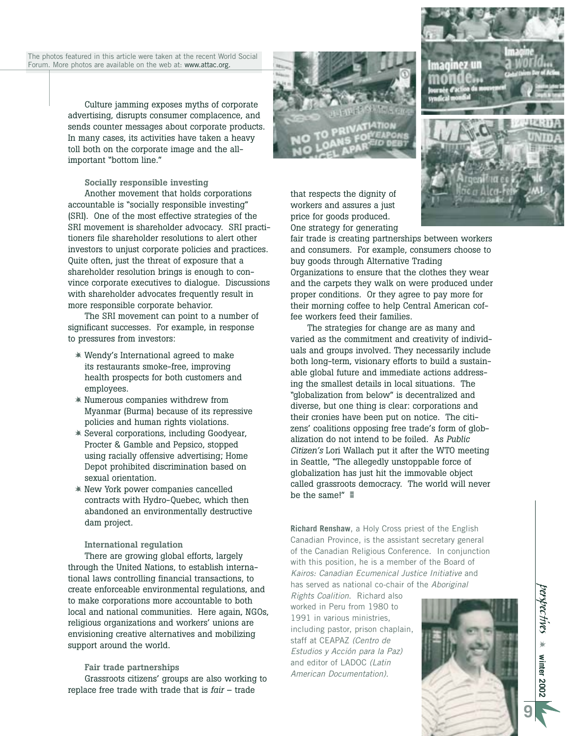The photos featured in this article were taken at the recent World Social Forum. More photos are available on the web at: www.attac.org.

> Culture jamming exposes myths of corporate advertising, disrupts consumer complacence, and sends counter messages about corporate products. In many cases, its activities have taken a heavy toll both on the corporate image and the allimportant "bottom line."

#### **Socially responsible investing**

Another movement that holds corporations accountable is "socially responsible investing" (SRI). One of the most effective strategies of the SRI movement is shareholder advocacy. SRI practitioners file shareholder resolutions to alert other investors to unjust corporate policies and practices. Quite often, just the threat of exposure that a shareholder resolution brings is enough to convince corporate executives to dialogue. Discussions with shareholder advocates frequently result in more responsible corporate behavior.

The SRI movement can point to a number of significant successes. For example, in response to pressures from investors:

- Wendy's International agreed to make its restaurants smoke-free, improving health prospects for both customers and employees.
- Numerous companies withdrew from Myanmar (Burma) because of its repressive policies and human rights violations.
- Several corporations, including Goodyear, Procter & Gamble and Pepsico, stopped using racially offensive advertising; Home Depot prohibited discrimination based on sexual orientation.
- New York power companies cancelled contracts with Hydro-Quebec, which then abandoned an environmentally destructive dam project.

#### **International regulation**

There are growing global efforts, largely through the United Nations, to establish international laws controlling financial transactions, to create enforceable environmental regulations, and to make corporations more accountable to both local and national communities. Here again, NGOs, religious organizations and workers' unions are envisioning creative alternatives and mobilizing support around the world.

#### **Fair trade partnerships**

Grassroots citizens' groups are also working to replace free trade with trade that is *fair* – trade





fair trade is creating partnerships between workers and consumers. For example, consumers choose to buy goods through Alternative Trading Organizations to ensure that the clothes they wear and the carpets they walk on were produced under proper conditions. Or they agree to pay more for their morning coffee to help Central American coffee workers feed their families.

The strategies for change are as many and varied as the commitment and creativity of individuals and groups involved. They necessarily include both long-term, visionary efforts to build a sustainable global future and immediate actions addressing the smallest details in local situations. The "globalization from below" is decentralized and diverse, but one thing is clear: corporations and their cronies have been put on notice. The citizens' coalitions opposing free trade's form of globalization do not intend to be foiled. As *Public Citizen's* Lori Wallach put it after the WTO meeting in Seattle, "The allegedly unstoppable force of globalization has just hit the immovable object called grassroots democracy. The world will never be the same!" -

**Richard Renshaw**, a Holy Cross priest of the English Canadian Province, is the assistant secretary general of the Canadian Religious Conference. In conjunction with this position, he is a member of the Board of *Kairos: Canadian Ecumenical Justice Initiative* and has served as national co-chair of the *Aboriginal*

*Rights Coalition*. Richard also worked in Peru from 1980 to 1991 in various ministries, including pastor, prison chaplain, staff at CEAPAZ *(Centro de Estudios y Acción para la Paz)* and editor of LADOC *(Latin American Documentation)*.





*perspec tives*  $*$  Minter 2002 **winter 2002**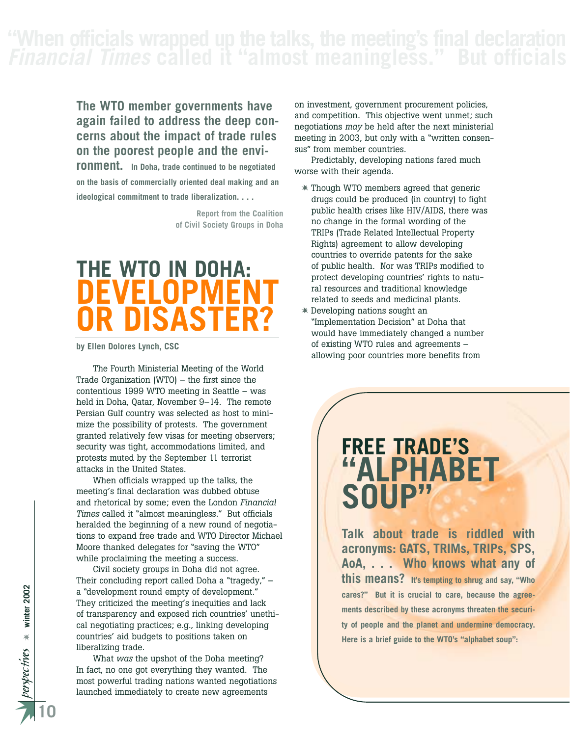*Financial Times* **called it "almost meaningless." But officials** 

#### **The WTO member governments have again failed to address the deep concerns about the impact of trade rules on the poorest people and the envi-**

**ronment. In Doha, trade continued to be negotiated on the basis of commercially oriented deal making and an ideological commitment to trade liberalization. . . .**

> **Report from the Coalition of Civil Society Groups in Doha**

# **THE WTO IN DOHA: EVELOPME OR DISASTER?**

**by Ellen Dolores Lynch, CSC**

The Fourth Ministerial Meeting of the World Trade Organization (WTO) – the first since the contentious 1999 WTO meeting in Seattle – was held in Doha, Qatar, November 9–14. The remote Persian Gulf country was selected as host to minimize the possibility of protests. The government granted relatively few visas for meeting observers; security was tight, accommodations limited, and protests muted by the September 11 terrorist attacks in the United States.

When officials wrapped up the talks, the meeting's final declaration was dubbed obtuse and rhetorical by some; even the London *Financial Times* called it "almost meaningless." But officials heralded the beginning of a new round of negotiations to expand free trade and WTO Director Michael Moore thanked delegates for "saving the WTO" while proclaiming the meeting a success.

Civil society groups in Doha did not agree. Their concluding report called Doha a "tragedy," – a "development round empty of development." They criticized the meeting's inequities and lack of transparency and exposed rich countries' unethical negotiating practices; e.g., linking developing countries' aid budgets to positions taken on liberalizing trade.

What *was* the upshot of the Doha meeting? In fact, no one got everything they wanted. The most powerful trading nations wanted negotiations launched immediately to create new agreements

on investment, government procurement policies, and competition. This objective went unmet; such negotiations *may* be held after the next ministerial meeting in 2003, but only with a "written consensus" from member countries.

Predictably, developing nations fared much worse with their agenda.

- Though WTO members agreed that generic drugs could be produced (in country) to fight public health crises like HIV/AIDS, there was no change in the formal wording of the TRIPs (Trade Related Intellectual Property Rights) agreement to allow developing countries to override patents for the sake of public health. Nor was TRIPs modified to protect developing countries' rights to natural resources and traditional knowledge related to seeds and medicinal plants.
- Developing nations sought an "Implementation Decision" at Doha that would have immediately changed a number of existing WTO rules and agreements – allowing poor countries more benefits from

# **FREE TRADE'S "ALPHABET SOUP"**

**Talk about trade is riddled with acronyms: GATS, TRIMs, TRIPs, SPS, AoA, . . . Who knows what any of this means? It's tempting to shrug and say, "Who cares?" But it is crucial to care, because the agreements described by these acronyms threaten the security of people and the planet and undermine democracy. Here is a brief guide to the WTO's "alphabet soup":**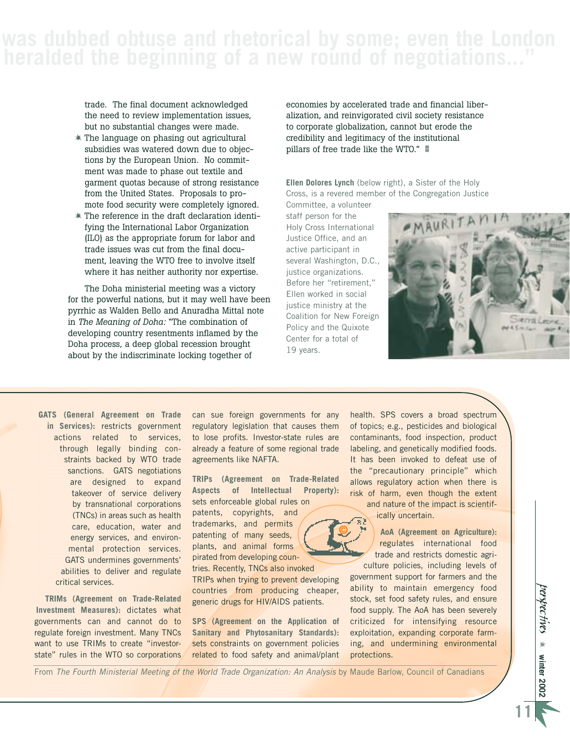# **heralded the beginning of a new round of negotiations..."**

trade. The final document acknowledged the need to review implementation issues, but no substantial changes were made.

- The language on phasing out agricultural subsidies was watered down due to objections by the European Union. No commitment was made to phase out textile and garment quotas because of strong resistance from the United States. Proposals to promote food security were completely ignored.
- The reference in the draft declaration identifying the International Labor Organization (ILO) as the appropriate forum for labor and trade issues was cut from the final document, leaving the WTO free to involve itself where it has neither authority nor expertise.

The Doha ministerial meeting was a victory for the powerful nations, but it may well have been pyrrhic as Walden Bello and Anuradha Mittal note in *The Meaning of Doha:* "The combination of developing country resentments inflamed by the Doha process, a deep global recession brought about by the indiscriminate locking together of

economies by accelerated trade and financial liberalization, and reinvigorated civil society resistance to corporate globalization, cannot but erode the credibility and legitimacy of the institutional pillars of free trade like the WTO."  $\blacksquare$ 

**Ellen Dolores Lynch** (below right), a Sister of the Holy Cross, is a revered member of the Congregation Justice

Committee, a volunteer staff person for the Holy Cross International Justice Office, and an active participant in several Washington, D.C., justice organizations. Before her "retirement," Ellen worked in social justice ministry at the Coalition for New Foreign Policy and the Quixote Center for a total of 19 years.

**©**



**GATS (General Agreement on Trade in Services):** restricts government actions related to services, through legally binding constraints backed by WTO trade sanctions. GATS negotiations are designed to expand takeover of service delivery by transnational corporations (TNCs) in areas such as health care, education, water and energy services, and environmental protection services. GATS undermines governments' abilities to deliver and regulate critical services.

**TRIMs (Agreement on Trade-Related Investment Measures):** dictates what governments can and cannot do to regulate foreign investment. Many TNCs want to use TRIMs to create "investorstate" rules in the WTO so corporations can sue foreign governments for any regulatory legislation that causes them to lose profits. Investor-state rules are already a feature of some regional trade agreements like NAFTA.

**TRIPs (Agreement on Trade-Related Aspects of Intellectual Property):**  sets enforceable global rules on

patents, copyrights, and trademarks, and permits patenting of many seeds, plants, and animal forms pirated from developing countries. Recently, TNCs also invoked TRIPs when trying to prevent developing

countries from producing cheaper, generic drugs for HIV/AIDS patients.

**SPS (Agreement on the Application of Sanitary and Phytosanitary Standards):** sets constraints on government policies related to food safety and animal/plant health. SPS covers a broad spectrum of topics; e.g., pesticides and biological contaminants, food inspection, product labeling, and genetically modified foods. It has been invoked to defeat use of the "precautionary principle" which allows regulatory action when there is risk of harm, even though the extent and nature of the impact is scientif-

ically uncertain.

**AoA (Agreement on Agriculture):** regulates international food trade and restricts domestic agriculture policies, including levels of

government support for farmers and the ability to maintain emergency food stock, set food safety rules, and ensure food supply. The AoA has been severely criticized for intensifying resource exploitation, expanding corporate farming, and undermining environmental protections.

From *The Fourth Ministerial Meeting of the World Trade Organization: An Analysis* by Maude Barlow, Council of Canadians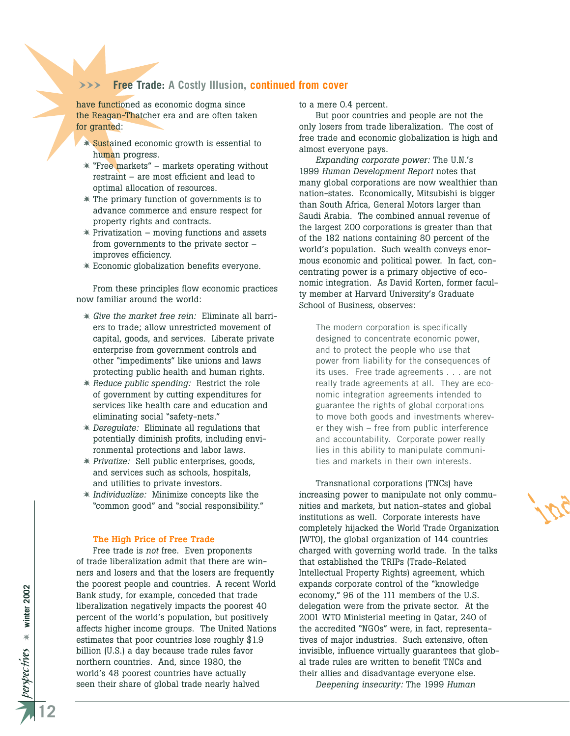#### WWW **Free Trade: A Costly Illusion, continued from cover**

have functioned as economic dogma since the Reagan-Thatcher era and are often taken for granted:

- Sustained economic growth is essential to human progress.
- **\*** "Free markets" markets operating without restraint – are most efficient and lead to optimal allocation of resources.
- The primary function of governments is to advance commerce and ensure respect for property rights and contracts.
- $*$  Privatization moving functions and assets from governments to the private sector – improves efficiency.
- Economic globalization benefits everyone.

From these principles flow economic practices now familiar around the world:

- *Give the market free rein:* Eliminate all barriers to trade; allow unrestricted movement of capital, goods, and services. Liberate private enterprise from government controls and other "impediments" like unions and laws protecting public health and human rights.
- *Reduce public spending:* Restrict the role of government by cutting expenditures for services like health care and education and eliminating social "safety-nets."
- *Deregulate:* Eliminate all regulations that potentially diminish profits, including environmental protections and labor laws.
- *Privatize:* Sell public enterprises, goods, and services such as schools, hospitals, and utilities to private investors.
- *Individualize:* Minimize concepts like the "common good" and "social responsibility."

#### **The High Price of Free Trade**

Free trade is *not* free. Even proponents of trade liberalization admit that there are winners and losers and that the losers are frequently the poorest people and countries. A recent World Bank study, for example, conceded that trade liberalization negatively impacts the poorest 40 percent of the world's population, but positively affects higher income groups. The United Nations estimates that poor countries lose roughly \$1.9 billion (U.S.) a day because trade rules favor northern countries. And, since 1980, the world's 48 poorest countries have actually seen their share of global trade nearly halved

to a mere 0.4 percent.

But poor countries and people are not the only losers from trade liberalization. The cost of free trade and economic globalization is high and almost everyone pays.

*Expanding corporate power:* The U.N.'s 1999 *Human Development Report* notes that many global corporations are now wealthier than nation-states. Economically, Mitsubishi is bigger than South Africa, General Motors larger than Saudi Arabia. The combined annual revenue of the largest 200 corporations is greater than that of the 182 nations containing 80 percent of the world's population. Such wealth conveys enormous economic and political power. In fact, concentrating power is a primary objective of economic integration. As David Korten, former faculty member at Harvard University's Graduate School of Business, observes:

The modern corporation is specifically designed to concentrate economic power, and to protect the people who use that power from liability for the consequences of its uses. Free trade agreements . . . are not really trade agreements at all. They are economic integration agreements intended to guarantee the rights of global corporations to move both goods and investments wherever they wish – free from public interference and accountability. Corporate power really lies in this ability to manipulate communities and markets in their own interests.

Transnational corporations (TNCs) have increasing power to manipulate not only communities and markets, but nation-states and global institutions as well. Corporate interests have completely hijacked the World Trade Organization (WTO), the global organization of 144 countries charged with governing world trade. In the talks that established the TRIPs (Trade-Related Intellectual Property Rights) agreement, which expands corporate control of the "knowledge economy," 96 of the 111 members of the U.S. delegation were from the private sector. At the 2001 WTO Ministerial meeting in Qatar, 240 of the accredited "NGOs" were, in fact, representatives of major industries. Such extensive, often invisible, influence virtually guarantees that global trade rules are written to benefit TNCs and their allies and disadvantage everyone else.

*Deepening insecurity:* The 1999 *Human*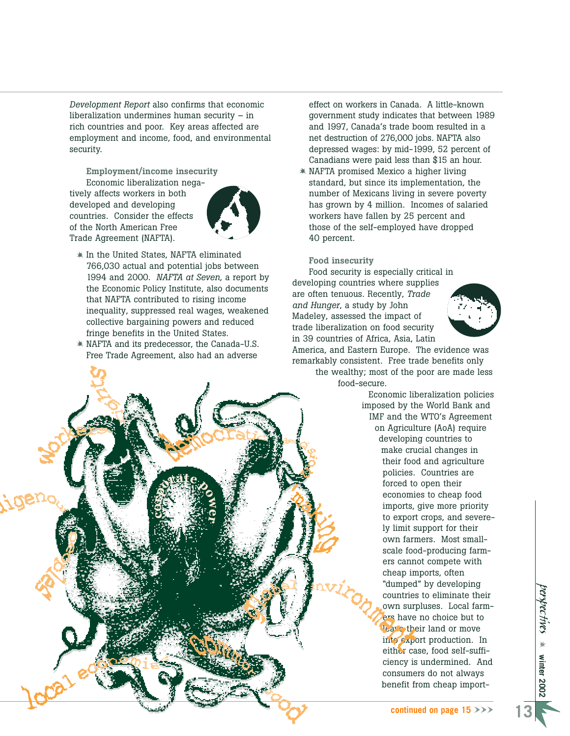*Development Report* also confirms that economic liberalization undermines human security – in rich countries and poor. Key areas affected are employment and income, food, and environmental security.

**Employment/income insecurity** Economic liberalization negatively affects workers in both developed and developing countries. Consider the effects of the North American Free Trade Agreement (NAFTA).



- In the United States, NAFTA eliminated 766,030 actual and potential jobs between 1994 and 2000. *NAFTA at Seven*, a report by the Economic Policy Institute, also documents that NAFTA contributed to rising income inequality, suppressed real wages, weakened collective bargaining powers and reduced fringe benefits in the United States.
- NAFTA and its predecessor, the Canada-U.S. Free Trade Agreement, also had an adverse

effect on workers in Canada. A little-known government study indicates that between 1989 and 1997, Canada's trade boom resulted in a net destruction of 276,000 jobs. NAFTA also depressed wages: by mid-1999, 52 percent of Canadians were paid less than \$15 an hour.

 NAFTA promised Mexico a higher living standard, but since its implementation, the number of Mexicans living in severe poverty has grown by 4 million. Incomes of salaried workers have fallen by 25 percent and those of the self-employed have dropped 40 percent.

#### **Food insecurity**

Food security is especially critical in developing countries where supplies are often tenuous. Recently, *Trade and Hunger*, a study by John Madeley, assessed the impact of trade liberalization on food security in 39 countries of Africa, Asia, Latin



America, and Eastern Europe. The evidence was remarkably consistent. Free trade benefits only the wealthy; most of the poor are made less food-secure.

Economic liberalization policies imposed by the World Bank and IMF and the WTO's Agreement on Agriculture (AoA) require developing countries to make crucial changes in their food and agriculture policies. Countries are forced to open their economies to cheap food imports, give more priority to export crops, and severely limit support for their own farmers. Most smallscale food-producing farmers cannot compete with cheap imports, often "dumped" by developing countries to eliminate their own surpluses. Local farmers have no choice but to leave their land or move into export production. In either case, food self-sufficiency is undermined. And consumers do not always benefit from cheap import-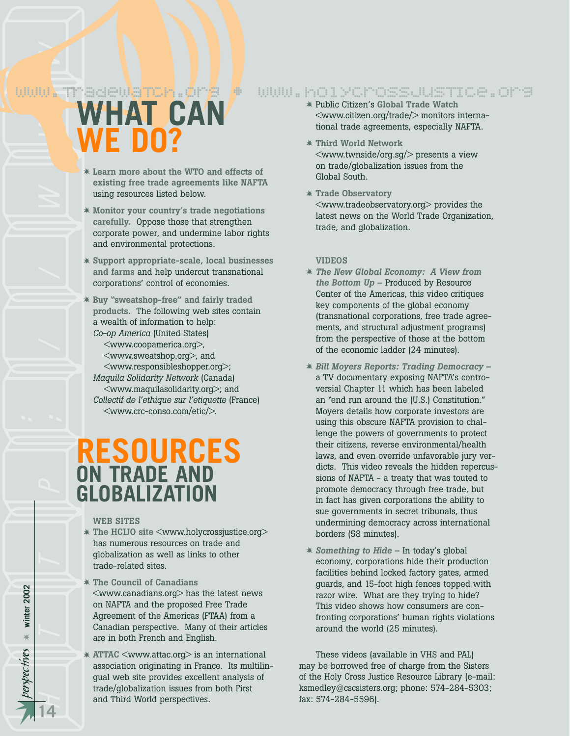# www.TradewaTch.org • www.holycrossjusTIce.org

# *perspec* http://www *tives* **WHAT CAN WE DO?**

- **Learn more about the WTO and effects of existing free trade agreements like NAFTA** using resources listed below.
- **Monitor your country's trade negotiations carefully.** Oppose those that strengthen corporate power, and undermine labor rights and environmental protections.
- **Support appropriate-scale, local businesses and farms** and help undercut transnational corporations' control of economies.
- **Buy "sweatshop-free" and fairly traded products.** The following web sites contain a wealth of information to help: *Co-op America* (United States)
	- <www.coopamerica.org>, <www.sweatshop.org>, and <www.responsibleshopper.org>; *Maquila Solidarity Network* (Canada) <www.maquilasolidarity.org>; and *Collectif de l'ethique sur l'etiquette* (France) <www.crc-conso.com/etic/>.

# **RESOURCES ON TRADE AND GLOBALIZATION**

#### **WEB SITES**

- **The HCIJO site** <www.holycrossjustice.org> has numerous resources on trade and globalization as well as links to other trade-related sites.
- **The Council of Canadians** <www.canadians.org> has the latest news on NAFTA and the proposed Free Trade Agreement of the Americas (FTAA) from a Canadian perspective. Many of their articles are in both French and English.
- **ATTAC** <www.attac.org> is an international association originating in France. Its multilingual web site provides excellent analysis of trade/globalization issues from both First and Third World perspectives.
- Public Citizen's **Global Trade Watch** <www.citizen.org/trade/> monitors international trade agreements, especially NAFTA.
- **Third World Network** <www.twnside/org.sg/> presents a view on trade/globalization issues from the Global South.
- **Trade Observatory** <www.tradeobservatory.org> provides the latest news on the World Trade Organization, trade, and globalization.

#### **VIDEOS**

- *The New Global Economy: A View from the Bottom Up* – Produced by Resource Center of the Americas, this video critiques key components of the global economy (transnational corporations, free trade agreements, and structural adjustment programs) from the perspective of those at the bottom of the economic ladder (24 minutes).
- *Bill Moyers Reports: Trading Democracy* a TV documentary exposing NAFTA's controversial Chapter 11 which has been labeled an "end run around the (U.S.) Constitution." Moyers details how corporate investors are using this obscure NAFTA provision to challenge the powers of governments to protect their citizens, reverse environmental/health laws, and even override unfavorable jury verdicts. This video reveals the hidden repercussions of NAFTA - a treaty that was touted to promote democracy through free trade, but in fact has given corporations the ability to sue governments in secret tribunals, thus undermining democracy across international borders (58 minutes).
- *Something to Hide* In today's global economy, corporations hide their production facilities behind locked factory gates, armed guards, and 15-foot high fences topped with razor wire. What are they trying to hide? This video shows how consumers are confronting corporations' human rights violations around the world (25 minutes).

These videos (available in VHS and PAL) may be borrowed free of charge from the Sisters of the Holy Cross Justice Resource Library (e-mail: ksmedley@cscsisters.org; phone: 574-284-5303; fax: 574-284-5596).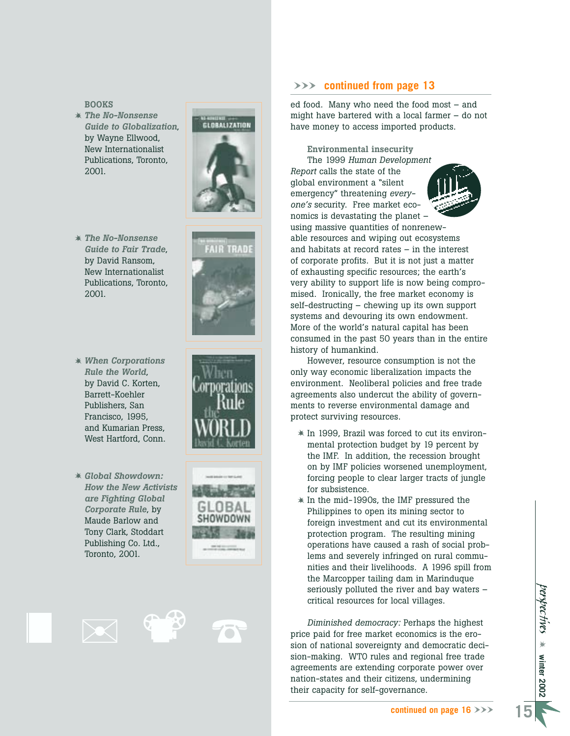**BOOKS**

 *The No-Nonsense Guide to Globalization* , by Wayne Ellwood, New Internationalist Publications, Toronto, 2001.



- *The No-Nonsense Guide to Fair Trade*, by David Ransom, New Internationalist Publications, Toronto, 2001.
- *When Corporations Rule the World*, by David C. Korten, Barrett-Koehler Publishers, San Francisco, 1995, and Kumarian Press, West Hartford, Conn.
- *Global Showdown: How the New Activists are Fighting Global Corporate Rule*, by Maude Barlow and Tony Clark, Stoddart Publishing Co. Ltd., Toronto, 2001.







#### WWW **continued from page 13**

ed food. Many who need the food most – and might have bartered with a local farmer – do not have money to access imported products.

**Environmental insecurity** The 1999 *Human Development Report* calls the state of the global environment a "silent emergency" threatening *everyone's* security. Free market economics is devastating the planet – using massive quantities of nonrenewable resources and wiping out ecosystems and habitats at record rates – in the interest of corporate profits. But it is not just a matter of exhausting specific resources; the earth's very ability to support life is now being compromised. Ironically, the free market economy is self-destructing – chewing up its own support systems and devouring its own endowment. More of the world's natural capital has been consumed in the past 50 years than in the entire history of humankind.

However, resource consumption is not the only way economic liberalization impacts the environment. Neoliberal policies and free trade agreements also undercut the ability of governments to reverse environmental damage and protect surviving resources.

- $*$  In 1999, Brazil was forced to cut its environmental protection budget by 19 percent by the IMF. In addition, the recession brought on by IMF policies worsened unemployment, forcing people to clear larger tracts of jungle for subsistence.
- $*$  In the mid-1990s, the IMF pressured the Philippines to open its mining sector to foreign investment and cut its environmental protection program. The resulting mining operations have caused a rash of social problems and severely infringed on rural communities and their livelihoods. A 1996 spill from the Marcopper tailing dam in Marinduque seriously polluted the river and bay waters – critical resources for local villages.

*Diminished democracy:* Perhaps the highest price paid for free market economics is the erosion of national sovereignty and democratic decision-making. WTO rules and regional free trade agreements are extending corporate power over nation-states and their citizens, undermining their capacity for self-governance.

*perspectives* ☀ **winter 2002**